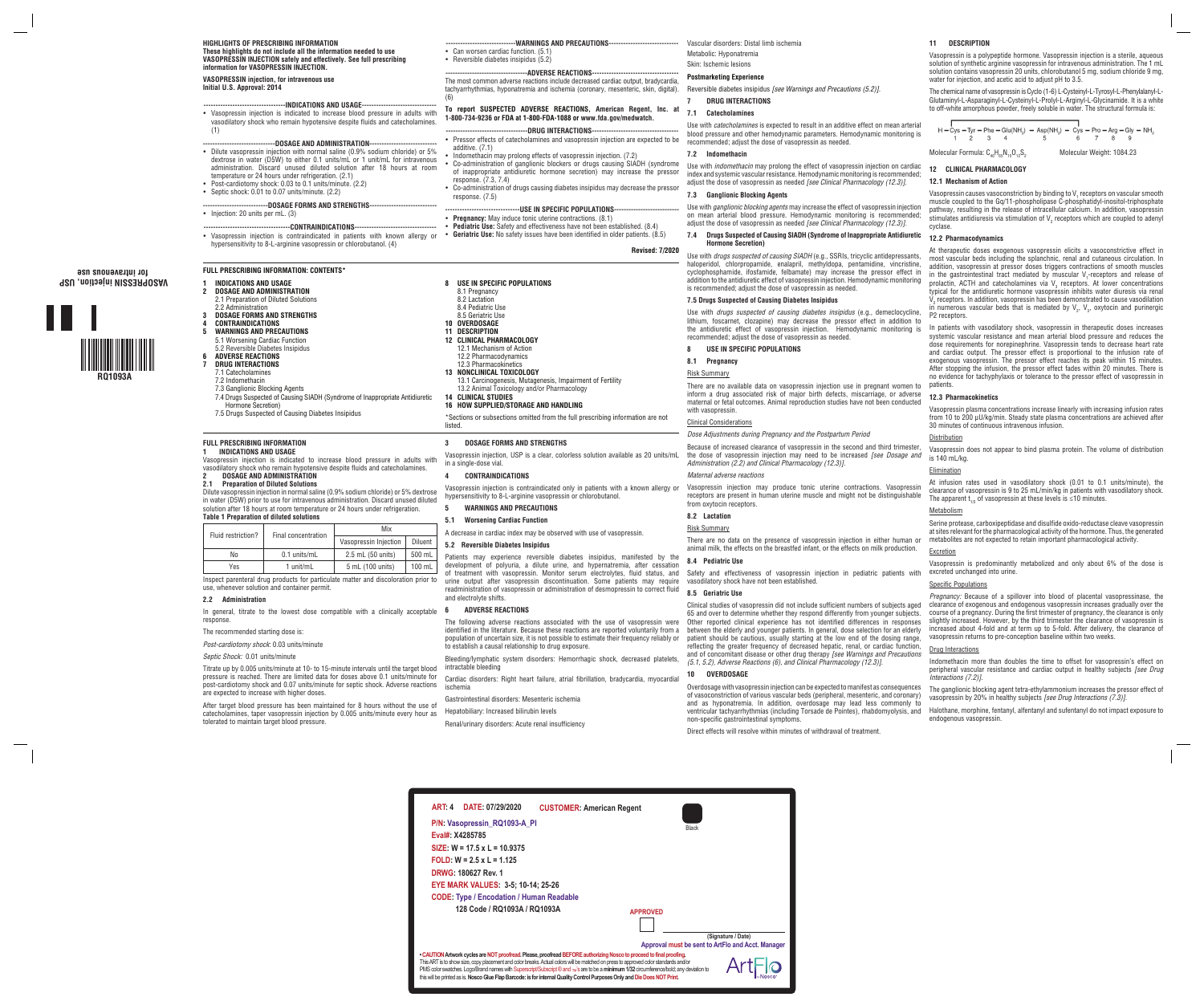Vasopressin injection is indicated to increase blood pressure in adults with vasodilatory shock who remain hypotensive despite fluids and catecholamines.<br> **2 DOSAGE AND ADMINISTRATION** 

#### **FULL PRESCRIBING INFORMATION 1 INDICATIONS AND USAGE**

In general, titrate to the lowest dose compatible with a clinically acceptable  $6$ response.

#### **2 DOSAGE AND ADMINISTRATION 2.1 Preparation of Diluted Solutions**

Dilute vasopressin injection in normal saline (0.9% sodium chloride) or 5% dextrose in water (D5W) prior to use for intravenous administration. Discard unused diluted solution after 18 hours at room temperature or 24 hours under refrigeration. **Table 1 Preparation of diluted solutions**

| Fluid restriction? | Final concentration | Mix                   |                |
|--------------------|---------------------|-----------------------|----------------|
|                    |                     | Vasopressin Injection | <b>Diluent</b> |
| No                 | $0.1$ units/mL      | 2.5 mL (50 units)     | 500 mL         |
| Yes                | 1 unit/mL           | 5 mL (100 units)      | $100$ mL       |

Inspect parenteral drug products for particulate matter and discoloration prior to use, whenever solution and container permit.

# **2.2 Administration**

The recommended starting dose is:

*Post-cardiotomy shock*: 0.03 units/minute

*Septic Shock:* 0.01 units/minute

Titrate up by 0.005 units/minute at 10- to 15-minute intervals until the target blood pressure is reached. There are limited data for doses above 0.1 units/minute for post-cardiotomy shock and 0.07 units/minute for septic shock. Adverse reactions are expected to increase with higher doses.

After target blood pressure has been maintained for 8 hours without the use of catecholamines, taper vasopressin injection by 0.005 units/minute every hour as tolerated to maintain target blood pressure.

# **3 DOSAGE FORMS AND STRENGTHS**

Vasopressin injection, USP is a clear, colorless solution available as 20 units/mL in a single-dose vial.

# **4 CONTRAINDICATIONS**

Vasopressin injection is contraindicated only in patients with a known allergy or hypersensitivity to 8-L-arginine vasopressin or chlorobutanol.

# **5 WARNINGS AND PRECAUTIONS**

**5.1 Worsening Cardiac Function**

A decrease in cardiac index may be observed with use of vasopressin.

# **5.2 Reversible Diabetes Insipidus**

There are no available data on vasopressin injection use in pregnant women to inform a drug associated risk of major birth defects, miscarriage, or adverse maternal or fetal outcomes. Animal reproduction studies have not been conducted with vasopressin.

Patients may experience reversible diabetes insipidus, manifested by the development of polyuria, a dilute urine, and hypernatremia, after cessation of treatment with vasopressin. Monitor serum electrolytes, fluid status, and urine output after vasopressin discontinuation. Some patients may require readministration of vasopressin or administration of desmopressin to correct fluid

and electrolyte shifts.

**6 ADVERSE REACTIONS**

The following adverse reactions associated with the use of vasopressin were identified in the literature. Because these reactions are reported voluntarily from a

to establish a causal relationship to drug exposure.

Bleeding/lymphatic system disorders: Hemorrhagic shock, decreased platelets,

intractable bleeding

Cardiac disorders: Right heart failure, atrial fibrillation, bradycardia, myocardial

ischemia

Gastrointestinal disorders: Mesenteric ischemia Hepatobiliary: Increased bilirubin levels

Renal/urinary disorders: Acute renal insufficiency

Vascular disorders: Distal limb ischemia

Metabolic: Hyponatremia Skin: Ischemic lesions

**7.1 Catecholamines**

Use with *catecholamines* is expected to result in an additive effect on mean arterial blood pressure and other hemodynamic parameters. Hemodynamic monitoring is

recommended; adjust the dose of vasopressin as needed.

**7.2 Indomethacin**

Vasopressin causes vasoconstriction by binding to  $V_1$  receptors on vascular smooth muscle coupled to the Gq/11-phospholipase C-phosphatidyl-inositol-triphosphate pathway, resulting in the release of intracellular calcium. In addition, vasopressin stimulates antidiuresis via stimulation of  $\mathrm{V}_2$  receptors which are coupled to adenyl cyclase.

Use with *indomethacin* may prolong the effect of vasopressin injection on cardiac index and systemic vascular resistance. Hemodynamic monitoring is recommended; adjust the dose of vasopressin as needed *[see Clinical Pharmacology (12.3)].*

**7.3 Ganglionic Blocking Agents**

Use with *ganglionic blocking agents* may increase the effect of vasopressin injection on mean arterial blood pressure. Hemodynamic monitoring is recommended; adjust the dose of vasopressin as needed *[see Clinical Pharmacology (12.3)].*

# **7.4 Drugs Suspected of Causing SIADH (Syndrome of Inappropriate Antidiuretic**

Molecular Formula:  $C_{46}H_{65}N_{15}O_{12}S_{2}$ 

**Hormone Secretion)**

Use with *drugs suspected of causing SIADH* (e.g., SSRIs, tricyclic antidepressants, haloperidol, chlorpropamide, enalapril, methyldopa, pentamidine, vincristine, cyclophosphamide, ifosfamide, felbamate) may increase the pressor effect in addition to the antidiuretic effect of vasopressin injection. Hemodynamic monitoring is recommended; adjust the dose of vasopressin as needed.

> At infusion rates used in vasodilatory shock (0.01 to 0.1 units/minute), the clearance of vasopressin is 9 to 25 mL/min/kg in patients with vasodilatory shock. The apparent  $t_{1/2}$  of vasopressin at these levels is ≤10 minutes.

### **7.5 Drugs Suspected of Causing Diabetes Insipidus**

Use with *drugs suspected of causing diabetes insipidus* (e.g., demeclocycline, lithium, foscarnet, clozapine) may decrease the pressor effect in addition to the antidiuretic effect of vasopressin injection. Hemodynamic monitoring is recommended; adjust the dose of vasopressin as needed.

### **8 USE IN SPECIFIC POPULATIONS**

# **8.1 Pregnancy**

#### Risk Summary

population of uncertain size, it is not possible to estimate their frequency reliably or patient should be cautious, usually starting at the low end of the dosing range, Clinical studies of vasopressin did not include sufficient numbers of subjects aged 65 and over to determine whether they respond differently from younger subjects. Other reported clinical experience has not identified differences in responses between the elderly and younger patients. In general, dose selection for an elderly reflecting the greater frequency of decreased hepatic, renal, or cardiac function, and of concomitant disease or other drug therapy *[see Warnings and Precautions (5.1, 5.2), Adverse Reactions (6), and Clinical Pharmacology (12.3)]*. *Pregnancy:* Because of a spillover into blood of placental vasopressinase, the clearance of exogenous and endogenous vasopressin increases gradually over the course of a pregnancy. During the first trimester of pregnancy, the clearance is only slightly increased. However, by the third trimester the clearance of vasopressin is increased about 4-fold and at term up to 5-fold. After delivery, the clearance of vasopressin returns to pre-conception baseline within two weeks*.* Drug Interactions Indomethacin more than doubles the time to offset for vasopressin's effect on

#### Clinical Considerations

*Dose Adjustments during Pregnancy and the Postpartum Period*

#### *Maternal adverse reactions*

• Vasopressin injection is indicated to increase blood pressure in adults with vasodilatory shock who remain hypotensive despite fluids and catecholamines. (1)

#### --DOSAGE AND ADMINISTRATION--

- Dilute vasopressin injection with normal saline (0.9% sodium chloride) or 5% dextrose in water (D5W) to either 0.1 units/mL or 1 unit/mL for intravenous administration. Discard unused diluted solution after 18 hours at room temperature or 24 hours under refrigeration. (2.1)
- Post-cardiotomy shock: 0.03 to 0.1 units/minute. (2.2)
- Septic shock: 0.01 to 0.07 units/minute. (2.2)

Vasopressin injection may produce tonic uterine contractions. Vasopressin receptors are present in human uterine muscle and might not be distinguishable from oxytocin receptors.

# **8.2 Lactation**

# Risk Summary

There are no data on the presence of vasopressin injection in either human or animal milk, the effects on the breastfed infant, or the effects on milk production.

# **8.4 Pediatric Use**

• Vasopressin injection is contraindicated in patients with known allergy or **• Geriatric Use:** No safety issues have been identified in older patients. (8.5) hypersensitivity to 8-L-arginine vasopressin or chlorobutanol. (4)

> Safety and effectiveness of vasopressin injection in pediatric patients with vasodilatory shock have not been established.

- -WARNINGS AND PRECAUTIONS------------------------------
- Can worsen cardiac function. (5.1) • Reversible diabetes insipidus (5.2)

# **8.5 Geriatric Use**

- Pressor effects of catecholamines and vasopressin injection are expected to be additive. (7.1)
- Indomethacin may prolong effects of vasopressin injection. (7.2)
- Co-administration of ganglionic blockers or drugs causing SIADH (syndrome of inappropriate antidiuretic hormone secretion) may increase the pressor response. (7.3, 7.4)
- • Co-administration of drugs causing diabetes insipidus may decrease the pressor response. (7.5)

# ---USE IN SPECIFIC POPULATIONS-

## • **Pregnancy:** May induce tonic uterine contractions. (8.1)

- **Pediatric Use:** Safety and effectiveness have not been established. (8.4)
- 

# **10 OVERDOSAGE**

Overdosage with vasopressin injection can be expected to manifest as consequences of vasoconstriction of various vascular beds (peripheral, mesenteric, and coronary) and as hyponatremia. In addition, overdosage may lead less commonly to ventricular tachyarrhythmias (including Torsade de Pointes), rhabdomyolysis, and non-specific gastrointestinal symptoms.

\*Sections or subsections omitted from the full prescribing information are not **listed** 

### Direct effects will resolve within minutes of withdrawal of treatment.

# **11 DESCRIPTION**

Vasopressin is a polypeptide hormone. Vasopressin injection is a sterile, aqueous solution of synthetic arginine vasopressin for intravenous administration. The 1 mL solution contains vasopressin 20 units, chlorobutanol 5 mg, sodium chloride 9 mg, water for injection, and acetic acid to adjust pH to 3.5.

Because of increased clearance of vasopressin in the second and third trimester, the dose of vasopressin injection may need to be increased *[see Dosage and Administration (2.2) and Clinical Pharmacology (12.3)].*  Vasopressin does not appear to bind plasma protein. The volume of distribution is 140 mL/kg.

The chemical name of vasopressin is Cyclo (1-6) L-Cysteinyl-L-Tyrosyl-L-Phenylalanyl-L-Glutaminyl-L-Asparaginyl-L-Cysteinyl-L-Prolyl-L-Arginyl-L-Glycinamide. It is a white to off-white amorphous powder, freely soluble in water. The structural formula is:

$$
H - \text{Cys} - \text{Tyr} - \text{Phe} - \text{Glu}(\text{NH}_2) - \text{Asp}(\text{NH}_2) - \text{Cys} - \text{Pro} - \text{Arg} - \text{Gly} - \text{NH}_2
$$
  
1 2 3 4 5 6 7 8 9

Molecular Weight: 1084.23

# **12 CLINICAL PHARMACOLOGY**

# **12.1 Mechanism of Action**

**Postmarketing Experience** Reversible diabetes insipidus *[see Warnings and Precautions (5.2)].* **7 DRUG INTERACTIONS ----------------------------------ADVERSE REACTIONS------------------------------------** The most common adverse reactions include decreased cardiac output, bradycardia, tachyarrhythmias, hyponatremia and ischemia (coronary, mesenteric, skin, digital). (6)

# **12.2 Pharmacodynamics**

At therapeutic doses exogenous vasopressin elicits a vasoconstrictive effect in most vascular beds including the splanchnic, renal and cutaneous circulation. In addition, vasopressin at pressor doses triggers contractions of smooth muscles in the gastrointestinal tract mediated by muscular  $V_1$ -receptors and release of prolactin, ACTH and catecholamines via  $V<sub>3</sub>$  receptors. At lower concentrations typical for the antidiuretic hormone vasopressin inhibits water diuresis via renal  $\mathrm{V}_2$  receptors. In addition, vasopressin has been demonstrated to cause vasodilation in numerous vascular beds that is mediated by  $V_2$ ,  $V_3$ , oxytocin and purinergic P2 receptors.

In patients with vasodilatory shock, vasopressin in therapeutic doses increases systemic vascular resistance and mean arterial blood pressure and reduces the dose requirements for norepinephrine. Vasopressin tends to decrease heart rate and cardiac output. The pressor effect is proportional to the infusion rate of exogenous vasopressin. The pressor effect reaches its peak within 15 minutes. After stopping the infusion, the pressor effect fades within 20 minutes. There is no evidence for tachyphylaxis or tolerance to the pressor effect of vasopressin in patients.

# **12.3 Pharmacokinetics**

Vasopressin plasma concentrations increase linearly with increasing infusion rates from 10 to 200 µU/kg/min. Steady state plasma concentrations are achieved after 30 minutes of continuous intravenous infusion.

# Distribution

# **Elimination**

# Metabolism

Serine protease, carboxipeptidase and disulfide oxido-reductase cleave vasopressin at sites relevant for the pharmacological activity of the hormone. Thus, the generated metabolites are not expected to retain important pharmacological activity.

# **Excretion**

Vasopressin is predominantly metabolized and only about 6% of the dose is excreted unchanged into urine.

# Specific Populations

peripheral vascular resistance and cardiac output in healthy subjects *[see Drug Interactions (7.2)].*

The ganglionic blocking agent tetra-ethylammonium increases the pressor effect of vasopressin by 20% in healthy subjects *[see Drug Interactions (7.3)].*

Halothane, morphine, fentanyl, alfentanyl and sufentanyl do not impact exposure to endogenous vasopressin.

| HIGHLIGHTS OF PRESCRIBING INFORMATION                              |
|--------------------------------------------------------------------|
| These highlights do not include all the information needed to use  |
| VASOPRESSIN INJECTION safely and effectively. See full prescribing |
| information for VASOPRESSIN INJECTION.                             |

**VASOPRESSIN injection, for intravenous use Initial U.S. Approval: 2014**

# **----------------------------------INDICATIONS AND USAGE-------------------------------**

#### **---------------------------DOSAGE FORMS AND STRENGTHS----------------------------**

• Injection: 20 units per mL. (3)

# **------------------------------------CONTRAINDICATIONS----------------------------------**

# **To report SUSPECTED ADVERSE REACTIONS, American Regent, Inc. at 1-800-734-9236 or FDA at 1-800-FDA-1088 or www.fda.gov/medwatch.**

# ---DRUG INTERACTIONS--

**Revised: 7/2020**

# **FULL PRESCRIBING INFORMATION: CONTENTS\***

**1 INDICATIONS AND USAGE**

# **2 DOSAGE AND ADMINISTRATION** 2.1 Preparation of Diluted Solutions

2.2 Administration

- **3 DOSAGE FORMS AND STRENGTHS**
- **4 CONTRAINDICATIONS**
- **5 WARNINGS AND PRECAUTIONS**
- 5.1 Worsening Cardiac Function 5.2 Reversible Diabetes Insipidus
- **6 ADVERSE REACTIONS**
- **7 DRUG INTERACTIONS**
- 7.1 Catecholamines
- 7.2 Indomethacin
- 7.3 Ganglionic Blocking Agents
- 7.4 Drugs Suspected of Causing SIADH (Syndrome of Inappropriate Antidiuretic Hormone Secretion)
- 7.5 Drugs Suspected of Causing Diabetes Insipidus
- 
- **8 USE IN SPECIFIC POPULATIONS**
- 8.1 Pregnancy 8.2 Lactation
- 8.4 Pediatric Use
- 8.5 Geriatric Use
- **10 OVERDOSAGE**

# **11 DESCRIPTION**

- **12 CLINICAL PHARMACOLOGY**
- 12.1 Mechanism of Action 12.2 Pharmacodynamics
- 12.3 Pharmacokinetics
- **13 NONCLINICAL TOXICOLOGY**
- 13.1 Carcinogenesis, Mutagenesis, Impairment of Fertility 13.2 Animal Toxicology and/or Pharmacology

### **14 CLINICAL STUDIES 16 HOW SUPPLIED/STORAGE AND HANDLING**

# **VASOPRESSIN injection, USP for intravenous use**